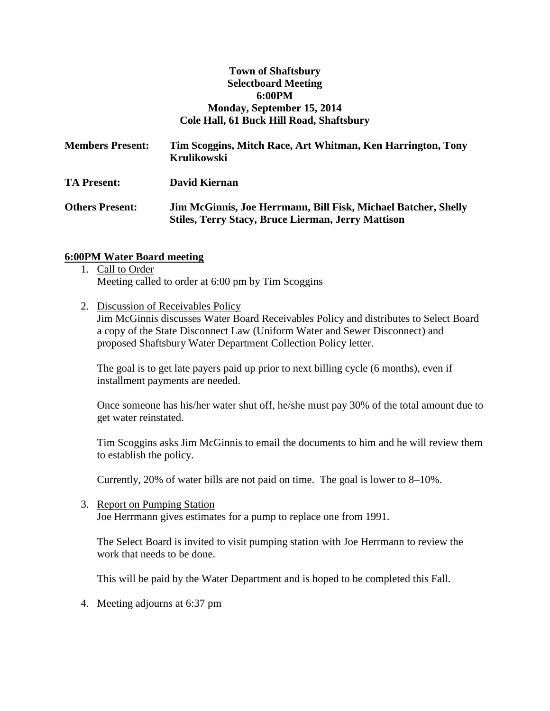#### **Town of Shaftsbury Selectboard Meeting 6:00PM Monday, September 15, 2014 Cole Hall, 61 Buck Hill Road, Shaftsbury**

| <b>Members Present:</b> | Tim Scoggins, Mitch Race, Art Whitman, Ken Harrington, Tony<br><b>Krulikowski</b>                                           |
|-------------------------|-----------------------------------------------------------------------------------------------------------------------------|
| <b>TA Present:</b>      | David Kiernan                                                                                                               |
| <b>Others Present:</b>  | Jim McGinnis, Joe Herrmann, Bill Fisk, Michael Batcher, Shelly<br><b>Stiles, Terry Stacy, Bruce Lierman, Jerry Mattison</b> |

#### **6:00PM Water Board meeting**

- 1. Call to Order Meeting called to order at 6:00 pm by Tim Scoggins
- 2. Discussion of Receivables Policy Jim McGinnis discusses Water Board Receivables Policy and distributes to Select Board a copy of the State Disconnect Law (Uniform Water and Sewer Disconnect) and proposed Shaftsbury Water Department Collection Policy letter.

The goal is to get late payers paid up prior to next billing cycle (6 months), even if installment payments are needed.

Once someone has his/her water shut off, he/she must pay 30% of the total amount due to get water reinstated.

Tim Scoggins asks Jim McGinnis to email the documents to him and he will review them to establish the policy.

Currently, 20% of water bills are not paid on time. The goal is lower to 8–10%.

3. Report on Pumping Station Joe Herrmann gives estimates for a pump to replace one from 1991.

The Select Board is invited to visit pumping station with Joe Herrmann to review the work that needs to be done.

This will be paid by the Water Department and is hoped to be completed this Fall.

4. Meeting adjourns at 6:37 pm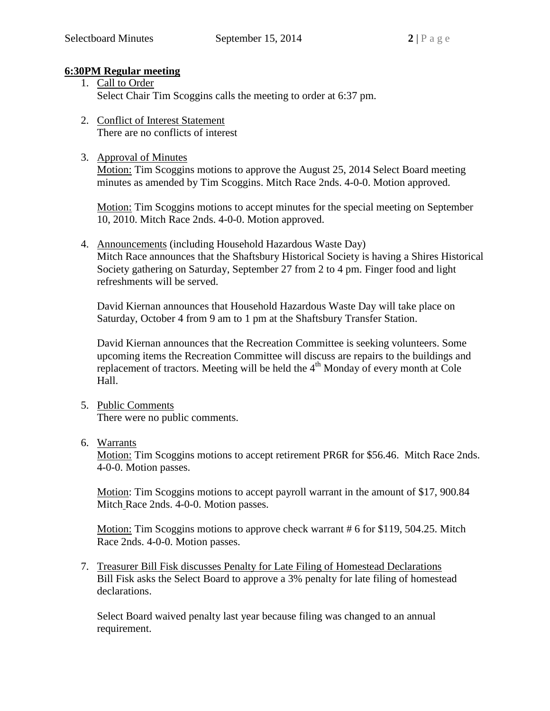## **6:30PM Regular meeting**

- 1. Call to Order Select Chair Tim Scoggins calls the meeting to order at 6:37 pm.
- 2. Conflict of Interest Statement There are no conflicts of interest
- 3. Approval of Minutes

Motion: Tim Scoggins motions to approve the August 25, 2014 Select Board meeting minutes as amended by Tim Scoggins. Mitch Race 2nds. 4-0-0. Motion approved.

Motion: Tim Scoggins motions to accept minutes for the special meeting on September 10, 2010. Mitch Race 2nds. 4-0-0. Motion approved.

4. Announcements (including Household Hazardous Waste Day) Mitch Race announces that the Shaftsbury Historical Society is having a Shires Historical Society gathering on Saturday, September 27 from 2 to 4 pm. Finger food and light refreshments will be served.

David Kiernan announces that Household Hazardous Waste Day will take place on Saturday, October 4 from 9 am to 1 pm at the Shaftsbury Transfer Station.

David Kiernan announces that the Recreation Committee is seeking volunteers. Some upcoming items the Recreation Committee will discuss are repairs to the buildings and replacement of tractors. Meeting will be held the  $4<sup>th</sup>$  Monday of every month at Cole Hall.

5. Public Comments

There were no public comments.

6. Warrants

Motion: Tim Scoggins motions to accept retirement PR6R for \$56.46. Mitch Race 2nds. 4-0-0. Motion passes.

Motion: Tim Scoggins motions to accept payroll warrant in the amount of \$17, 900.84 Mitch Race 2nds. 4-0-0. Motion passes.

Motion: Tim Scoggins motions to approve check warrant # 6 for \$119, 504.25. Mitch Race 2nds. 4-0-0. Motion passes.

7. Treasurer Bill Fisk discusses Penalty for Late Filing of Homestead Declarations Bill Fisk asks the Select Board to approve a 3% penalty for late filing of homestead declarations.

Select Board waived penalty last year because filing was changed to an annual requirement.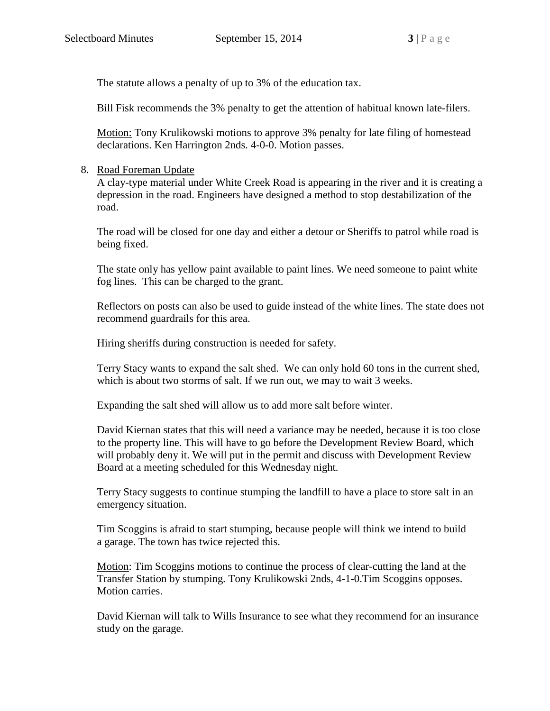The statute allows a penalty of up to 3% of the education tax.

Bill Fisk recommends the 3% penalty to get the attention of habitual known late-filers.

Motion: Tony Krulikowski motions to approve 3% penalty for late filing of homestead declarations. Ken Harrington 2nds. 4-0-0. Motion passes.

# 8. Road Foreman Update

A clay-type material under White Creek Road is appearing in the river and it is creating a depression in the road. Engineers have designed a method to stop destabilization of the road.

The road will be closed for one day and either a detour or Sheriffs to patrol while road is being fixed.

The state only has yellow paint available to paint lines. We need someone to paint white fog lines. This can be charged to the grant.

Reflectors on posts can also be used to guide instead of the white lines. The state does not recommend guardrails for this area.

Hiring sheriffs during construction is needed for safety.

Terry Stacy wants to expand the salt shed. We can only hold 60 tons in the current shed, which is about two storms of salt. If we run out, we may to wait 3 weeks.

Expanding the salt shed will allow us to add more salt before winter.

David Kiernan states that this will need a variance may be needed, because it is too close to the property line. This will have to go before the Development Review Board, which will probably deny it. We will put in the permit and discuss with Development Review Board at a meeting scheduled for this Wednesday night.

Terry Stacy suggests to continue stumping the landfill to have a place to store salt in an emergency situation.

Tim Scoggins is afraid to start stumping, because people will think we intend to build a garage. The town has twice rejected this.

Motion: Tim Scoggins motions to continue the process of clear-cutting the land at the Transfer Station by stumping. Tony Krulikowski 2nds, 4-1-0.Tim Scoggins opposes. Motion carries.

David Kiernan will talk to Wills Insurance to see what they recommend for an insurance study on the garage.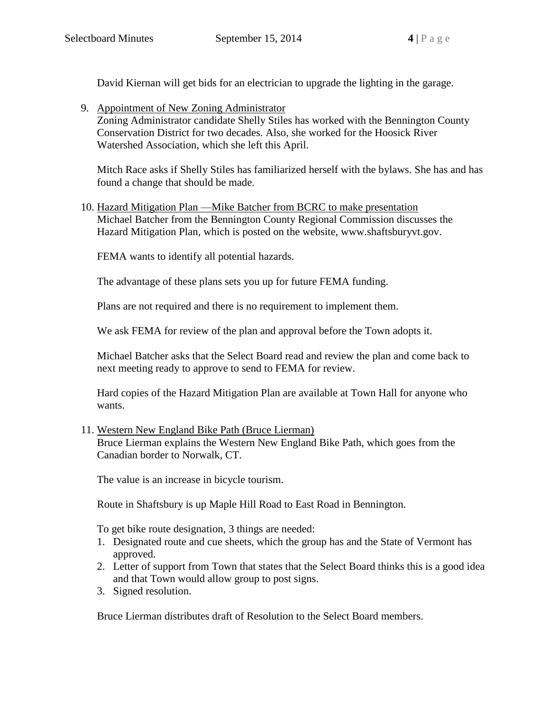David Kiernan will get bids for an electrician to upgrade the lighting in the garage.

9. Appointment of New Zoning Administrator Zoning Administrator candidate Shelly Stiles has worked with the Bennington County Conservation District for two decades. Also, she worked for the Hoosick River Watershed Association, which she left this April.

Mitch Race asks if Shelly Stiles has familiarized herself with the bylaws. She has and has found a change that should be made.

10. Hazard Mitigation Plan —Mike Batcher from BCRC to make presentation Michael Batcher from the Bennington County Regional Commission discusses the Hazard Mitigation Plan, which is posted on the website, www.shaftsburyvt.gov.

FEMA wants to identify all potential hazards.

The advantage of these plans sets you up for future FEMA funding.

Plans are not required and there is no requirement to implement them.

We ask FEMA for review of the plan and approval before the Town adopts it.

Michael Batcher asks that the Select Board read and review the plan and come back to next meeting ready to approve to send to FEMA for review.

Hard copies of the Hazard Mitigation Plan are available at Town Hall for anyone who wants.

## 11. Western New England Bike Path (Bruce Lierman)

Bruce Lierman explains the Western New England Bike Path, which goes from the Canadian border to Norwalk, CT.

The value is an increase in bicycle tourism.

Route in Shaftsbury is up Maple Hill Road to East Road in Bennington.

To get bike route designation, 3 things are needed:

- 1. Designated route and cue sheets, which the group has and the State of Vermont has approved.
- 2. Letter of support from Town that states that the Select Board thinks this is a good idea and that Town would allow group to post signs.
- 3. Signed resolution.

Bruce Lierman distributes draft of Resolution to the Select Board members.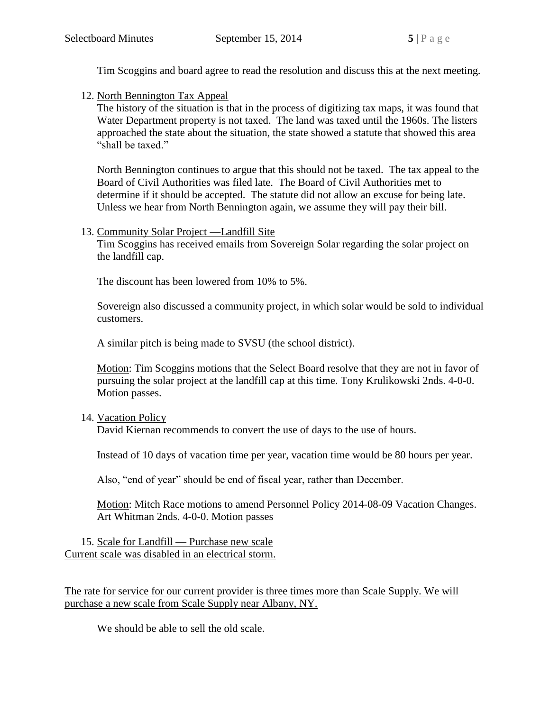Tim Scoggins and board agree to read the resolution and discuss this at the next meeting.

12. North Bennington Tax Appeal

The history of the situation is that in the process of digitizing tax maps, it was found that Water Department property is not taxed. The land was taxed until the 1960s. The listers approached the state about the situation, the state showed a statute that showed this area "shall be taxed."

North Bennington continues to argue that this should not be taxed. The tax appeal to the Board of Civil Authorities was filed late. The Board of Civil Authorities met to determine if it should be accepted. The statute did not allow an excuse for being late. Unless we hear from North Bennington again, we assume they will pay their bill.

## 13. Community Solar Project —Landfill Site

Tim Scoggins has received emails from Sovereign Solar regarding the solar project on the landfill cap.

The discount has been lowered from 10% to 5%.

Sovereign also discussed a community project, in which solar would be sold to individual customers.

A similar pitch is being made to SVSU (the school district).

Motion: Tim Scoggins motions that the Select Board resolve that they are not in favor of pursuing the solar project at the landfill cap at this time. Tony Krulikowski 2nds. 4-0-0. Motion passes.

## 14. Vacation Policy

David Kiernan recommends to convert the use of days to the use of hours.

Instead of 10 days of vacation time per year, vacation time would be 80 hours per year.

Also, "end of year" should be end of fiscal year, rather than December.

Motion: Mitch Race motions to amend Personnel Policy 2014-08-09 Vacation Changes. Art Whitman 2nds. 4-0-0. Motion passes

15. Scale for Landfill — Purchase new scale Current scale was disabled in an electrical storm.

The rate for service for our current provider is three times more than Scale Supply. We will purchase a new scale from Scale Supply near Albany, NY.

We should be able to sell the old scale.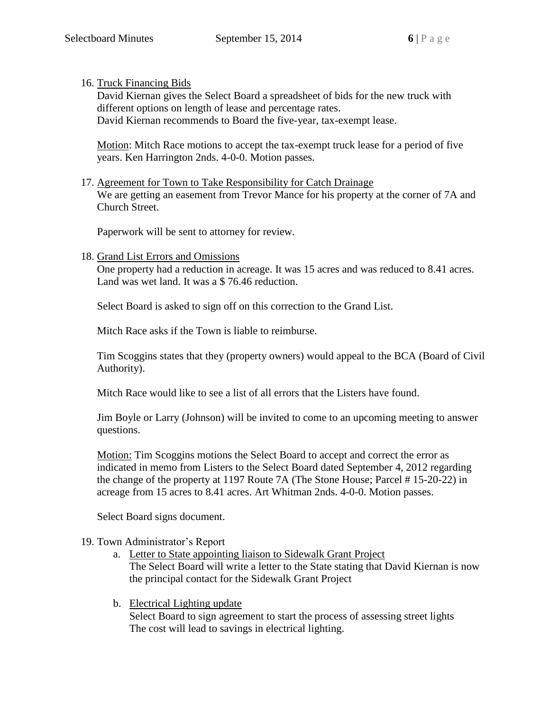16. Truck Financing Bids

David Kiernan gives the Select Board a spreadsheet of bids for the new truck with different options on length of lease and percentage rates. David Kiernan recommends to Board the five-year, tax-exempt lease.

Motion: Mitch Race motions to accept the tax-exempt truck lease for a period of five years. Ken Harrington 2nds. 4-0-0. Motion passes.

17. Agreement for Town to Take Responsibility for Catch Drainage We are getting an easement from Trevor Mance for his property at the corner of 7A and Church Street.

Paperwork will be sent to attorney for review.

#### 18. Grand List Errors and Omissions

One property had a reduction in acreage. It was 15 acres and was reduced to 8.41 acres. Land was wet land. It was a \$ 76.46 reduction.

Select Board is asked to sign off on this correction to the Grand List.

Mitch Race asks if the Town is liable to reimburse.

Tim Scoggins states that they (property owners) would appeal to the BCA (Board of Civil Authority).

Mitch Race would like to see a list of all errors that the Listers have found.

Jim Boyle or Larry (Johnson) will be invited to come to an upcoming meeting to answer questions.

Motion: Tim Scoggins motions the Select Board to accept and correct the error as indicated in memo from Listers to the Select Board dated September 4, 2012 regarding the change of the property at 1197 Route 7A (The Stone House; Parcel # 15-20-22) in acreage from 15 acres to 8.41 acres. Art Whitman 2nds. 4-0-0. Motion passes.

Select Board signs document.

#### 19. Town Administrator's Report

- a. Letter to State appointing liaison to Sidewalk Grant Project The Select Board will write a letter to the State stating that David Kiernan is now the principal contact for the Sidewalk Grant Project
- b. Electrical Lighting update Select Board to sign agreement to start the process of assessing street lights The cost will lead to savings in electrical lighting.